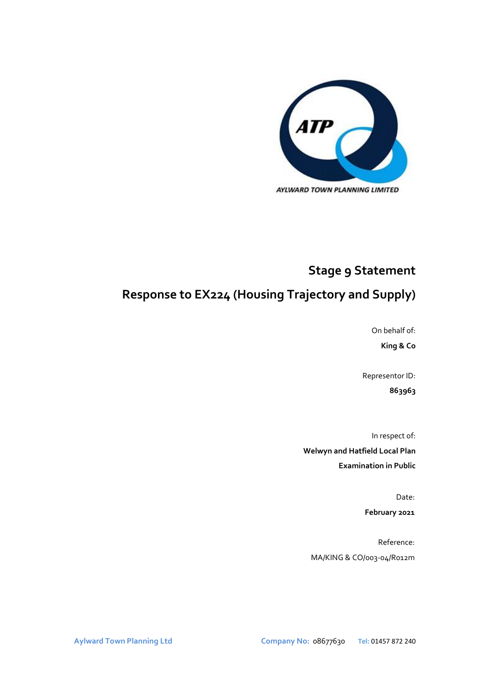

# **Stage 9 Statement**

# **Response to EX224 (Housing Trajectory and Supply)**

On behalf of: **King & Co**

Representor ID: **863963**

In respect of: **Welwyn and Hatfield Local Plan Examination in Public**

Date:

**February 2021**

Reference: MA/KING & CO/003-04/R012m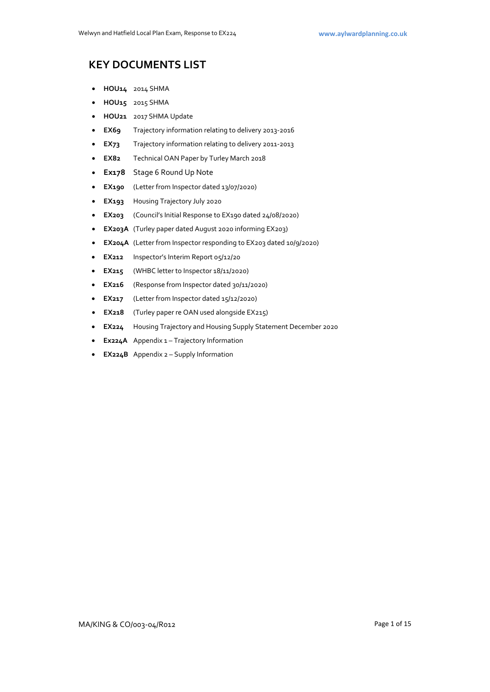## **KEY DOCUMENTS LIST**

- **HOU14** 2014 SHMA
- **HOU15** 2015 SHMA
- **HOU21** 2017 SHMA Update
- **EX69** Trajectory information relating to delivery 2013-2016
- **EX73** Trajectory information relating to delivery 2011-2013
- **EX82** Technical OAN Paper by Turley March 2018
- **Ex178** Stage 6 Round Up Note
- **EX190** (Letter from Inspector dated 13/07/2020)
- **EX193** Housing Trajectory July 2020
- **EX203** (Council's Initial Response to EX190 dated 24/08/2020)
- **EX203A** (Turley paper dated August 2020 informing EX203)
- **EX204A** (Letter from Inspector responding to EX203 dated 10/9/2020)
- **EX212** Inspector's Interim Report 05/12/20
- **EX215** (WHBC letter to Inspector 18/11/2020)
- **EX216** (Response from Inspector dated 30/11/2020)
- **EX217** (Letter from Inspector dated 15/12/2020)
- **EX218** (Turley paper re OAN used alongside EX215)
- **EX224** Housing Trajectory and Housing Supply Statement December 2020
- **Ex224A** Appendix 1 Trajectory Information
- **EX224B** Appendix 2 Supply Information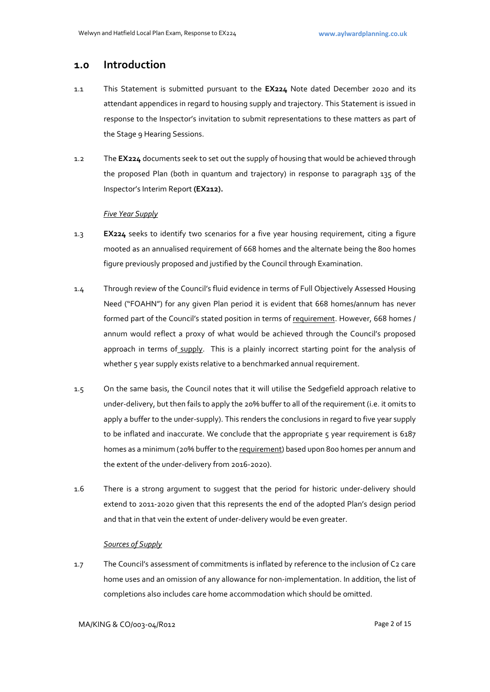### **1.0 Introduction**

- 1.1 This Statement is submitted pursuant to the **EX224** Note dated December 2020 and its attendant appendices in regard to housing supply and trajectory. This Statement is issued in response to the Inspector's invitation to submit representations to these matters as part of the Stage 9 Hearing Sessions.
- 1.2 The **EX224** documents seek to set out the supply of housing that would be achieved through the proposed Plan (both in quantum and trajectory) in response to paragraph 135 of the Inspector's Interim Report **(EX212).**

### *Five Year Supply*

- 1.3 **EX224** seeks to identify two scenarios for a five year housing requirement, citing a figure mooted as an annualised requirement of 668 homes and the alternate being the 800 homes figure previously proposed and justified by the Council through Examination.
- 1.4 Through review of the Council's fluid evidence in terms of Full Objectively Assessed Housing Need ("FOAHN") for any given Plan period it is evident that 668 homes/annum has never formed part of the Council's stated position in terms of requirement. However, 668 homes / annum would reflect a proxy of what would be achieved through the Council's proposed approach in terms of supply. This is a plainly incorrect starting point for the analysis of whether 5 year supply exists relative to a benchmarked annual requirement.
- 1.5 On the same basis, the Council notes that it will utilise the Sedgefield approach relative to under-delivery, but then fails to apply the 20% buffer to all of the requirement (i.e. it omits to apply a buffer to the under-supply). This renders the conclusions in regard to five year supply to be inflated and inaccurate. We conclude that the appropriate  $5$  year requirement is 6187 homes as a minimum (20% buffer to the requirement) based upon 800 homes per annum and the extent of the under-delivery from 2016-2020).
- 1.6 There is a strong argument to suggest that the period for historic under-delivery should extend to 2011-2020 given that this represents the end of the adopted Plan's design period and that in that vein the extent of under-delivery would be even greater.

### *Sources of Supply*

1.7 The Council's assessment of commitments is inflated by reference to the inclusion of C2 care home uses and an omission of any allowance for non-implementation. In addition, the list of completions also includes care home accommodation which should be omitted.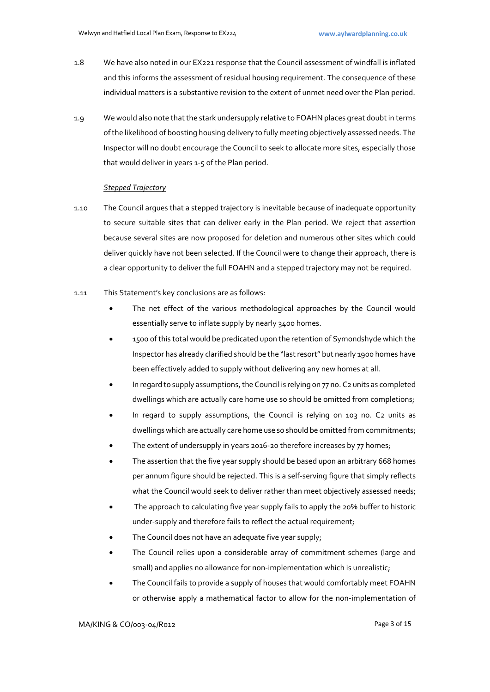- 1.8 We have also noted in our EX221 response that the Council assessment of windfall is inflated and this informs the assessment of residual housing requirement. The consequence of these individual matters is a substantive revision to the extent of unmet need over the Plan period.
- 1.9 We would also note that the stark undersupply relative to FOAHN places great doubt in terms of the likelihood of boosting housing delivery to fully meeting objectively assessed needs. The Inspector will no doubt encourage the Council to seek to allocate more sites, especially those that would deliver in years 1-5 of the Plan period.

#### *Stepped Trajectory*

- 1.10 The Council argues that a stepped trajectory is inevitable because of inadequate opportunity to secure suitable sites that can deliver early in the Plan period. We reject that assertion because several sites are now proposed for deletion and numerous other sites which could deliver quickly have not been selected. If the Council were to change their approach, there is a clear opportunity to deliver the full FOAHN and a stepped trajectory may not be required.
- 1.11 This Statement's key conclusions are as follows:
	- The net effect of the various methodological approaches by the Council would essentially serve to inflate supply by nearly 3400 homes.
	- 1500 of this total would be predicated upon the retention of Symondshyde which the Inspector has already clarified should be the "last resort" but nearly 1900 homes have been effectively added to supply without delivering any new homes at all.
	- In regard to supply assumptions, the Council is relying on 77 no. C2 units as completed dwellings which are actually care home use so should be omitted from completions;
	- In regard to supply assumptions, the Council is relying on 103 no. C2 units as dwellings which are actually care home use so should be omitted from commitments;
	- The extent of undersupply in years 2016-20 therefore increases by 77 homes;
	- The assertion that the five year supply should be based upon an arbitrary 668 homes per annum figure should be rejected. This is a self-serving figure that simply reflects what the Council would seek to deliver rather than meet objectively assessed needs;
	- The approach to calculating five year supply fails to apply the 20% buffer to historic under-supply and therefore fails to reflect the actual requirement;
	- The Council does not have an adequate five year supply;
	- The Council relies upon a considerable array of commitment schemes (large and small) and applies no allowance for non-implementation which is unrealistic;
	- The Council fails to provide a supply of houses that would comfortably meet FOAHN or otherwise apply a mathematical factor to allow for the non-implementation of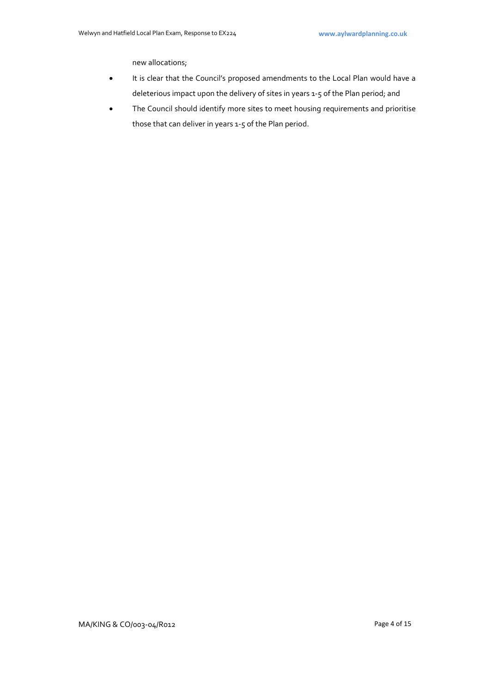new allocations;

- It is clear that the Council's proposed amendments to the Local Plan would have a deleterious impact upon the delivery of sites in years 1-5 of the Plan period; and
- The Council should identify more sites to meet housing requirements and prioritise those that can deliver in years 1-5 of the Plan period.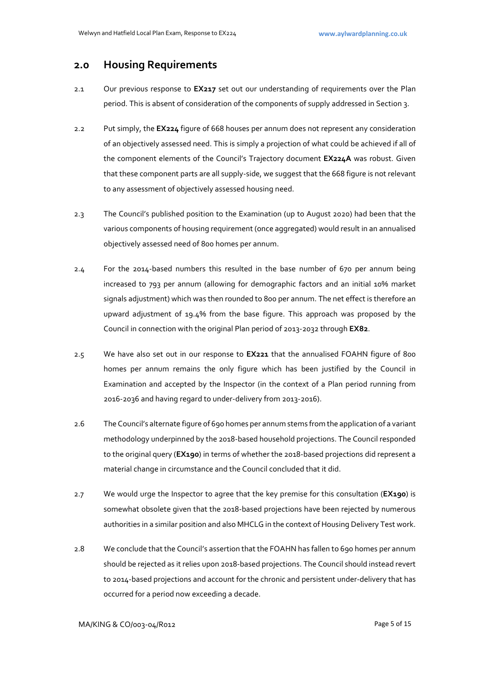### **2.0 Housing Requirements**

- 2.1 Our previous response to **EX217** set out our understanding of requirements over the Plan period. This is absent of consideration of the components of supply addressed in Section 3.
- 2.2 Put simply, the **EX224** figure of 668 houses per annum does not represent any consideration of an objectively assessed need. This is simply a projection of what could be achieved if all of the component elements of the Council's Trajectory document **EX224A** was robust. Given that these component parts are all supply-side, we suggest that the 668 figure is not relevant to any assessment of objectively assessed housing need.
- 2.3 The Council's published position to the Examination (up to August 2020) had been that the various components of housing requirement (once aggregated) would result in an annualised objectively assessed need of 800 homes per annum.
- 2.4 For the 2014-based numbers this resulted in the base number of 670 per annum being increased to 793 per annum (allowing for demographic factors and an initial 10% market signals adjustment) which was then rounded to 800 per annum. The net effect is therefore an upward adjustment of 19.4% from the base figure. This approach was proposed by the Council in connection with the original Plan period of 2013-2032 through **EX82**.
- 2.5 We have also set out in our response to **EX221** that the annualised FOAHN figure of 800 homes per annum remains the only figure which has been justified by the Council in Examination and accepted by the Inspector (in the context of a Plan period running from 2016-2036 and having regard to under-delivery from 2013-2016).
- 2.6 The Council's alternate figure of 690 homes per annum stems from the application of a variant methodology underpinned by the 2018-based household projections. The Council responded to the original query (**EX190**) in terms of whether the 2018-based projections did represent a material change in circumstance and the Council concluded that it did.
- 2.7 We would urge the Inspector to agree that the key premise for this consultation (**EX190**) is somewhat obsolete given that the 2018-based projections have been rejected by numerous authorities in a similar position and also MHCLG in the context of Housing Delivery Test work.
- 2.8 We conclude that the Council's assertion that the FOAHN has fallen to 690 homes per annum should be rejected as it relies upon 2018-based projections. The Council should instead revert to 2014-based projections and account for the chronic and persistent under-delivery that has occurred for a period now exceeding a decade.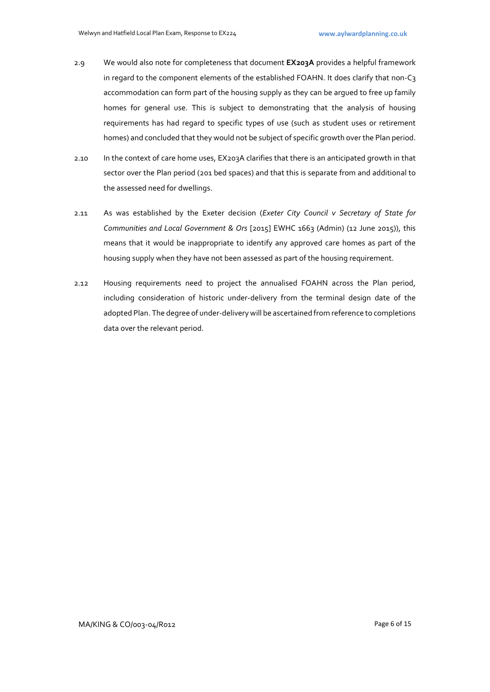- 2.9 We would also note for completeness that document **EX203A** provides a helpful framework in regard to the component elements of the established FOAHN. It does clarify that non-C3 accommodation can form part of the housing supply as they can be argued to free up family homes for general use. This is subject to demonstrating that the analysis of housing requirements has had regard to specific types of use (such as student uses or retirement homes) and concluded that they would not be subject of specific growth over the Plan period.
- 2.10 In the context of care home uses, EX203A clarifies that there is an anticipated growth in that sector over the Plan period (201 bed spaces) and that this is separate from and additional to the assessed need for dwellings.
- 2.11 As was established by the Exeter decision (*Exeter City Council v Secretary of State for Communities and Local Government & Ors* [2015] EWHC 1663 (Admin) (12 June 2015)), this means that it would be inappropriate to identify any approved care homes as part of the housing supply when they have not been assessed as part of the housing requirement.
- 2.12 Housing requirements need to project the annualised FOAHN across the Plan period, including consideration of historic under-delivery from the terminal design date of the adopted Plan. The degree of under-delivery will be ascertained from reference to completions data over the relevant period.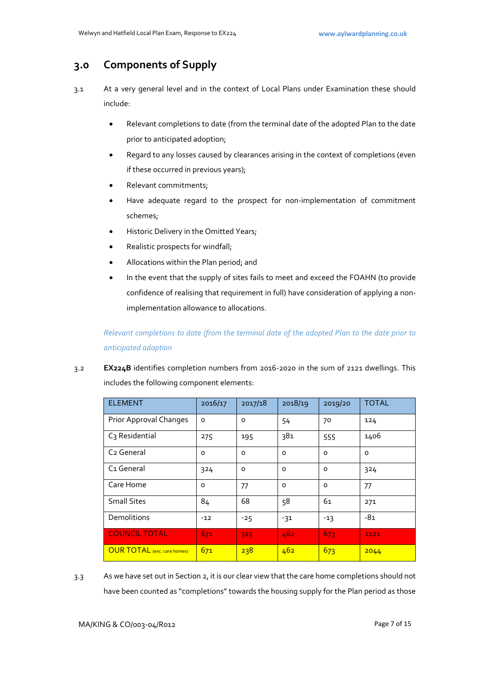# **3.0 Components of Supply**

- 3.1 At a very general level and in the context of Local Plans under Examination these should include:
	- Relevant completions to date (from the terminal date of the adopted Plan to the date prior to anticipated adoption;
	- Regard to any losses caused by clearances arising in the context of completions (even if these occurred in previous years);
	- Relevant commitments;
	- Have adequate regard to the prospect for non-implementation of commitment schemes;
	- Historic Delivery in the Omitted Years;
	- Realistic prospects for windfall;
	- Allocations within the Plan period; and
	- In the event that the supply of sites fails to meet and exceed the FOAHN (to provide confidence of realising that requirement in full) have consideration of applying a nonimplementation allowance to allocations.

*Relevant completions to date (from the terminal date of the adopted Plan to the date prior to anticipated adoption*

3.2 **EX224B** identifies completion numbers from 2016-2020 in the sum of 2121 dwellings. This includes the following component elements:

| <b>ELEMENT</b>                     | 2016/17  | 2017/18             | 2018/19  | 2019/20              | <b>TOTAL</b> |
|------------------------------------|----------|---------------------|----------|----------------------|--------------|
| Prior Approval Changes             | $\Omega$ | $\Omega$            | 54       | 70                   | 124          |
| C <sub>3</sub> Residential         | 275      | 195                 | 381      | 555                  | 1406         |
| C <sub>2</sub> General             | $\Omega$ | $\Omega$            | $\Omega$ | $\Omega$<br>$\Omega$ |              |
| C <sub>1</sub> General             | 324      | $\circ$<br>$\Omega$ |          | 0                    | 324          |
| Care Home                          | $\Omega$ | 77                  | $\Omega$ | $\Omega$             | 77           |
| <b>Small Sites</b>                 | 84       | 68                  | 58       | 61                   | 271          |
| <b>Demolitions</b>                 | $-12$    | $-25$               | $-31$    | $-13$                | $-81$        |
| <b>COUNCIL TOTAL</b>               | 671      | 315                 | 462      | 673                  | 2121         |
| <b>OUR TOTAL</b> (exc. care homes) | 671      | 238                 | 462      | 673                  | 2044         |

3.3 As we have set out in Section 2, it is our clear view that the care home completions should not have been counted as "completions" towards the housing supply for the Plan period as those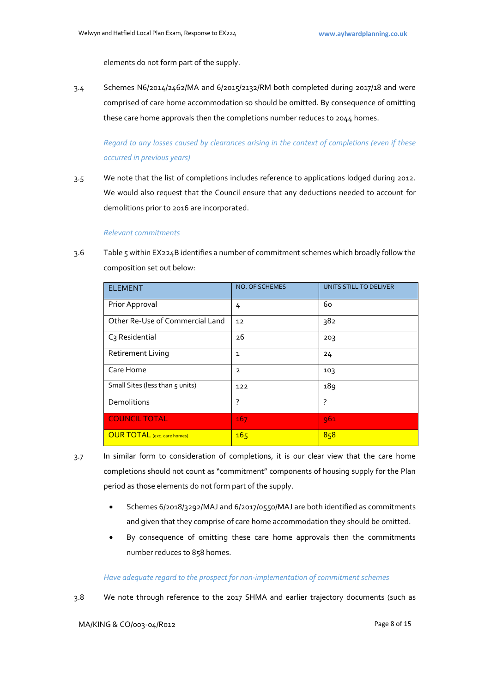elements do not form part of the supply.

3.4 Schemes N6/2014/2462/MA and 6/2015/2132/RM both completed during 2017/18 and were comprised of care home accommodation so should be omitted. By consequence of omitting these care home approvals then the completions number reduces to 2044 homes.

## *Regard to any losses caused by clearances arising in the context of completions (even if these occurred in previous years)*

3.5 We note that the list of completions includes reference to applications lodged during 2012. We would also request that the Council ensure that any deductions needed to account for demolitions prior to 2016 are incorporated.

#### *Relevant commitments*

3.6 Table 5 within EX224B identifies a number of commitment schemes which broadly follow the composition set out below:

| <b>ELEMENT</b>                     | <b>NO. OF SCHEMES</b> | UNITS STILL TO DELIVER |
|------------------------------------|-----------------------|------------------------|
| Prior Approval                     | 4                     | 60                     |
| Other Re-Use of Commercial Land    | 12                    | 382                    |
| C <sub>3</sub> Residential         | 26                    | 203                    |
| <b>Retirement Living</b>           | $\mathbf{1}$          | 24                     |
| Care Home                          | $\overline{2}$        | 103                    |
| Small Sites (less than 5 units)    | 122                   | 189                    |
| <b>Demolitions</b>                 | ?                     | ?                      |
| <b>COUNCIL TOTAL</b>               | 167                   | 961                    |
| <b>OUR TOTAL</b> (exc. care homes) | 165                   | 858                    |

3.7 In similar form to consideration of completions, it is our clear view that the care home completions should not count as "commitment" components of housing supply for the Plan period as those elements do not form part of the supply.

- Schemes 6/2018/3292/MAJ and 6/2017/0550/MAJ are both identified as commitments and given that they comprise of care home accommodation they should be omitted.
- By consequence of omitting these care home approvals then the commitments number reduces to 858 homes.

### *Have adequate regard to the prospect for non-implementation of commitment schemes*

3.8 We note through reference to the 2017 SHMA and earlier trajectory documents (such as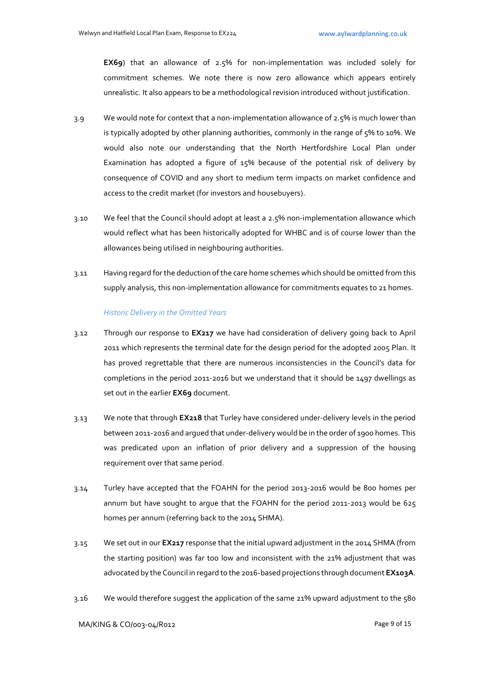**EX69**) that an allowance of 2.5% for non-implementation was included solely for commitment schemes. We note there is now zero allowance which appears entirely unrealistic. It also appears to be a methodological revision introduced without justification.

- 3.9 We would note for context that a non-implementation allowance of 2.5% is much lower than is typically adopted by other planning authorities, commonly in the range of 5% to 10%. We would also note our understanding that the North Hertfordshire Local Plan under Examination has adopted a figure of 15% because of the potential risk of delivery by consequence of COVID and any short to medium term impacts on market confidence and access to the credit market (for investors and housebuyers).
- 3.10 We feel that the Council should adopt at least a 2.5% non-implementation allowance which would reflect what has been historically adopted for WHBC and is of course lower than the allowances being utilised in neighbouring authorities.
- 3.11 Having regard for the deduction of the care home schemes which should be omitted from this supply analysis, this non-implementation allowance for commitments equates to 21 homes.

### *Historic Delivery in the Omitted Years*

- 3.12 Through our response to **EX217** we have had consideration of delivery going back to April 2011 which represents the terminal date for the design period for the adopted 2005 Plan. It has proved regrettable that there are numerous inconsistencies in the Council's data for completions in the period 2011-2016 but we understand that it should be 1497 dwellings as set out in the earlier **EX69** document.
- 3.13 We note that through **EX218** that Turley have considered under-delivery levels in the period between 2011-2016 and argued that under-delivery would be in the order of 1900 homes. This was predicated upon an inflation of prior delivery and a suppression of the housing requirement over that same period.
- 3.14 Turley have accepted that the FOAHN for the period 2013-2016 would be 800 homes per annum but have sought to argue that the FOAHN for the period 2011-2013 would be 625 homes per annum (referring back to the 2014 SHMA).
- 3.15 We set out in our **EX217** response that the initial upward adjustment in the 2014 SHMA (from the starting position) was far too low and inconsistent with the 21% adjustment that was advocated by the Council in regard to the 2016-based projections through document **EX103A**.
- 3.16 We would therefore suggest the application of the same 21% upward adjustment to the 580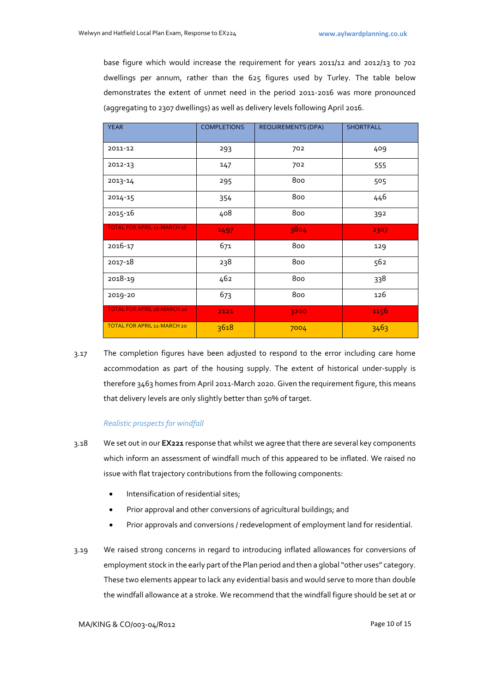base figure which would increase the requirement for years 2011/12 and 2012/13 to 702 dwellings per annum, rather than the 625 figures used by Turley. The table below demonstrates the extent of unmet need in the period 2011-2016 was more pronounced (aggregating to 2307 dwellings) as well as delivery levels following April 2016.

| <b>YEAR</b>                        | <b>COMPLETIONS</b> | <b>REQUIREMENTS (DPA)</b> | <b>SHORTFALL</b> |
|------------------------------------|--------------------|---------------------------|------------------|
| 2011-12                            | 293                | 702                       | 409              |
| 2012-13                            | 147                | 702                       | 555              |
| 2013-14                            | 295                | 800                       | 505              |
| 2014-15                            | 354                | 800                       | 446              |
| 2015-16                            | 408                | 800                       | 392              |
| TOTAL FOR APRIL 11-MARCH 16        | 1497               | 3804                      | 2307             |
| 2016-17                            | 671                | 800                       | 129              |
| 2017-18                            | 238                | 800                       | 562              |
| 2018-19                            | 462                | 800                       | 338              |
| 2019-20                            | 673                | 800                       | 126              |
| <b>TOTAL FOR APRIL 16-MARCH 20</b> | 2121               | 3200                      | 1156             |
| TOTAL FOR APRIL 11-MARCH 20        | 3618               | 7004                      | 3463             |

3.17 The completion figures have been adjusted to respond to the error including care home accommodation as part of the housing supply. The extent of historical under-supply is therefore 3463 homes from April 2011-March 2020. Given the requirement figure, this means that delivery levels are only slightly better than 50% of target.

### *Realistic prospects for windfall*

- 3.18 We set out in our **EX221** response that whilst we agree that there are several key components which inform an assessment of windfall much of this appeared to be inflated. We raised no issue with flat trajectory contributions from the following components:
	- Intensification of residential sites;
	- Prior approval and other conversions of agricultural buildings; and
	- Prior approvals and conversions / redevelopment of employment land for residential.
- 3.19 We raised strong concerns in regard to introducing inflated allowances for conversions of employment stock in the early part of the Plan period and then a global "other uses" category. These two elements appear to lack any evidential basis and would serve to more than double the windfall allowance at a stroke. We recommend that the windfall figure should be set at or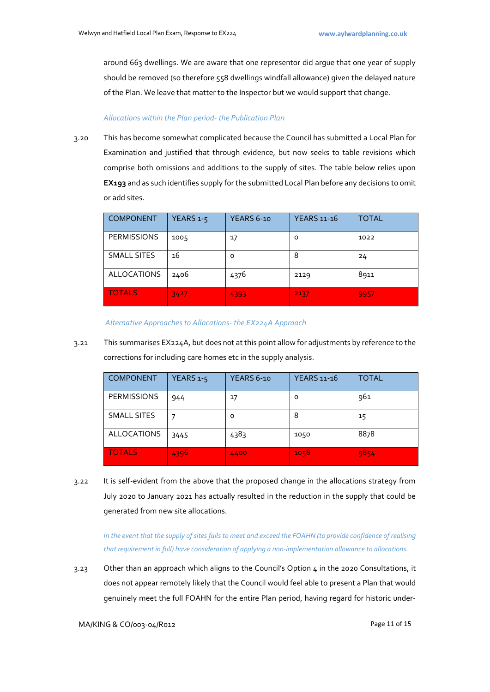around 663 dwellings. We are aware that one representor did argue that one year of supply should be removed (so therefore 558 dwellings windfall allowance) given the delayed nature of the Plan. We leave that matter to the Inspector but we would support that change.

### *Allocations within the Plan period- the Publication Plan*

3.20 This has become somewhat complicated because the Council has submitted a Local Plan for Examination and justified that through evidence, but now seeks to table revisions which comprise both omissions and additions to the supply of sites. The table below relies upon **EX193** and as such identifies supply for the submitted Local Plan before any decisions to omit or add sites.

| <b>COMPONENT</b>   | YEARS 1-5 | YEARS 6-10 | YEARS 11-16 | <b>TOTAL</b> |
|--------------------|-----------|------------|-------------|--------------|
| <b>PERMISSIONS</b> | 1005      | 17         | o           | 1022         |
| <b>SMALL SITES</b> | 16        | O          | 8           | 24           |
| <b>ALLOCATIONS</b> | 2406      | 4376       | 2129        | 8911         |
| <b>TOTALS</b>      | 3427      | 4393       | 2137        | 9957         |

*Alternative Approaches to Allocations- the EX224A Approach*

3.21 This summarises EX224A, but does not at this point allow for adjustments by reference to the corrections for including care homes etc in the supply analysis.

| <b>COMPONENT</b>   | YEARS 1-5 | <b>YEARS 6-10</b> | YEARS 11-16 | <b>TOTAL</b> |
|--------------------|-----------|-------------------|-------------|--------------|
| <b>PERMISSIONS</b> | 944       | 17                | O           | 961          |
| <b>SMALL SITES</b> |           | O                 | 8           | 15           |
| <b>ALLOCATIONS</b> | 3445      | 4383              | 1050        | 8878         |
| <b>TOTALS</b>      | 4396      | 4400              | 1058        | 9854         |

3.22 It is self-evident from the above that the proposed change in the allocations strategy from July 2020 to January 2021 has actually resulted in the reduction in the supply that could be generated from new site allocations.

*In the event that the supply of sites fails to meet and exceed the FOAHN (to provide confidence of realising that requirement in full) have consideration of applying a non-implementation allowance to allocations.*

3.23 Other than an approach which aligns to the Council's Option 4 in the 2020 Consultations, it does not appear remotely likely that the Council would feel able to present a Plan that would genuinely meet the full FOAHN for the entire Plan period, having regard for historic under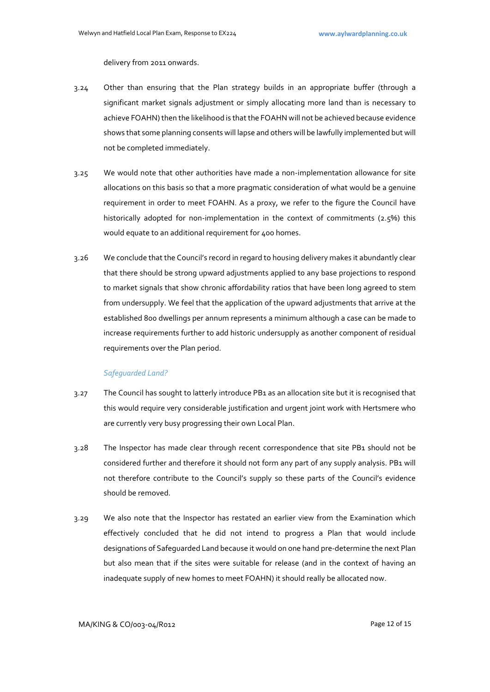delivery from 2011 onwards.

- 3.24 Other than ensuring that the Plan strategy builds in an appropriate buffer (through a significant market signals adjustment or simply allocating more land than is necessary to achieve FOAHN) then the likelihood is that the FOAHN will not be achieved because evidence shows that some planning consents will lapse and others will be lawfully implemented but will not be completed immediately.
- 3.25 We would note that other authorities have made a non-implementation allowance for site allocations on this basis so that a more pragmatic consideration of what would be a genuine requirement in order to meet FOAHN. As a proxy, we refer to the figure the Council have historically adopted for non-implementation in the context of commitments (2.5%) this would equate to an additional requirement for 400 homes.
- 3.26 We conclude that the Council's record in regard to housing delivery makes it abundantly clear that there should be strong upward adjustments applied to any base projections to respond to market signals that show chronic affordability ratios that have been long agreed to stem from undersupply. We feel that the application of the upward adjustments that arrive at the established 800 dwellings per annum represents a minimum although a case can be made to increase requirements further to add historic undersupply as another component of residual requirements over the Plan period.

#### *Safeguarded Land?*

- 3.27 The Council has sought to latterly introduce PB1 as an allocation site but it is recognised that this would require very considerable justification and urgent joint work with Hertsmere who are currently very busy progressing their own Local Plan.
- 3.28 The Inspector has made clear through recent correspondence that site PB1 should not be considered further and therefore it should not form any part of any supply analysis. PB1 will not therefore contribute to the Council's supply so these parts of the Council's evidence should be removed.
- 3.29 We also note that the Inspector has restated an earlier view from the Examination which effectively concluded that he did not intend to progress a Plan that would include designations of Safeguarded Land because it would on one hand pre-determine the next Plan but also mean that if the sites were suitable for release (and in the context of having an inadequate supply of new homes to meet FOAHN) it should really be allocated now.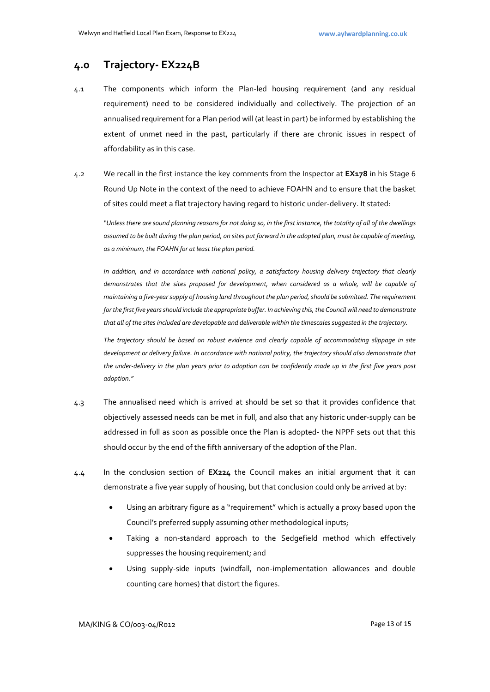### **4.0 Trajectory- EX224B**

- 4.1 The components which inform the Plan-led housing requirement (and any residual requirement) need to be considered individually and collectively. The projection of an annualised requirement for a Plan period will (at least in part) be informed by establishing the extent of unmet need in the past, particularly if there are chronic issues in respect of affordability as in this case.
- 4.2 We recall in the first instance the key comments from the Inspector at **EX178** in his Stage 6 Round Up Note in the context of the need to achieve FOAHN and to ensure that the basket of sites could meet a flat trajectory having regard to historic under-delivery. It stated:

*"Unless there are sound planning reasons for not doing so, in the first instance, the totality of all of the dwellings assumed to be built during the plan period, on sites put forward in the adopted plan, must be capable of meeting, as a minimum, the FOAHN for at least the plan period.* 

*In addition, and in accordance with national policy, a satisfactory housing delivery trajectory that clearly demonstrates that the sites proposed for development, when considered as a whole, will be capable of maintaining a five-year supply of housing land throughout the plan period, should be submitted. The requirement for the first five years should include the appropriate buffer. In achieving this, the Council will need to demonstrate that all of the sites included are developable and deliverable within the timescales suggested in the trajectory.* 

*The trajectory should be based on robust evidence and clearly capable of accommodating slippage in site development or delivery failure. In accordance with national policy, the trajectory should also demonstrate that the under-delivery in the plan years prior to adoption can be confidently made up in the first five years post adoption."*

- 4.3 The annualised need which is arrived at should be set so that it provides confidence that objectively assessed needs can be met in full, and also that any historic under-supply can be addressed in full as soon as possible once the Plan is adopted- the NPPF sets out that this should occur by the end of the fifth anniversary of the adoption of the Plan.
- 4.4 In the conclusion section of **EX224** the Council makes an initial argument that it can demonstrate a five year supply of housing, but that conclusion could only be arrived at by:
	- Using an arbitrary figure as a "requirement" which is actually a proxy based upon the Council's preferred supply assuming other methodological inputs;
	- Taking a non-standard approach to the Sedgefield method which effectively suppresses the housing requirement; and
	- Using supply-side inputs (windfall, non-implementation allowances and double counting care homes) that distort the figures.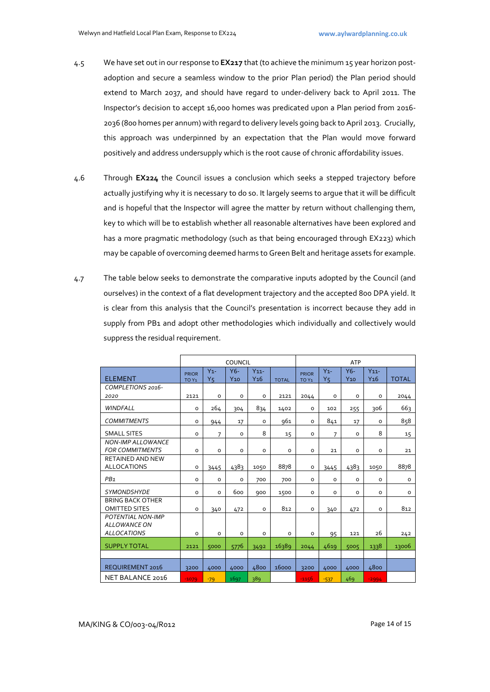- 4.5 We have set out in our response to **EX217** that (to achieve the minimum 15 year horizon postadoption and secure a seamless window to the prior Plan period) the Plan period should extend to March 2037, and should have regard to under-delivery back to April 2011. The Inspector's decision to accept 16,000 homes was predicated upon a Plan period from 2016- 2036 (800 homes per annum) with regard to delivery levels going back to April 2013. Crucially, this approach was underpinned by an expectation that the Plan would move forward positively and address undersupply which is the root cause of chronic affordability issues.
- 4.6 Through **EX224** the Council issues a conclusion which seeks a stepped trajectory before actually justifying why it is necessary to do so. It largely seems to argue that it will be difficult and is hopeful that the Inspector will agree the matter by return without challenging them, key to which will be to establish whether all reasonable alternatives have been explored and has a more pragmatic methodology (such as that being encouraged through EX223) which may be capable of overcoming deemed harms to Green Belt and heritage assets for example.
- 4.7 The table below seeks to demonstrate the comparative inputs adopted by the Council (and ourselves) in the context of a flat development trajectory and the accepted 800 DPA yield. It is clear from this analysis that the Council's presentation is incorrect because they add in supply from PB1 and adopt other methodologies which individually and collectively would suppress the residual requirement.

|                                                    | <b>COUNCIL</b>                    |                |                          | <b>ATP</b>                  |              |                                   |               |                   |                             |                |
|----------------------------------------------------|-----------------------------------|----------------|--------------------------|-----------------------------|--------------|-----------------------------------|---------------|-------------------|-----------------------------|----------------|
| <b>ELEMENT</b>                                     | <b>PRIOR</b><br>TO Y <sub>1</sub> | $Y_1$ -<br>Υ5  | $Y6-$<br>Y <sub>10</sub> | $Y_{11}$<br>Y <sub>16</sub> | <b>TOTAL</b> | <b>PRIOR</b><br>TO Y <sub>1</sub> | $Y_1$ -<br>Y5 | $Y_6$<br>$Y_{10}$ | $Y_{11}$<br>Y <sub>16</sub> | <b>TOTAL</b>   |
| COMPLETIONS 2016-                                  |                                   |                |                          |                             |              |                                   |               |                   |                             |                |
| 2020                                               | 2121                              | $\circ$        | $\circ$                  | $\circ$                     | 2121         | 2044                              | о             | $\circ$           | $\circ$                     | 2044           |
| <b>WINDFALL</b>                                    | $\circ$                           | 264            | 304                      | 834                         | 1402         | $\circ$                           | 102           | 255               | 306                         | 663            |
| <b>COMMITMENTS</b>                                 | $\circ$                           | 944            | 17                       | $\circ$                     | 961          | $\circ$                           | 841           | 17                | $\circ$                     | 858            |
| <b>SMALL SITES</b>                                 | $\circ$                           | $\overline{7}$ | O                        | 8                           | 15           | $\circ$                           | 7             | $\circ$           | 8                           | 15             |
| <b>NON-IMP ALLOWANCE</b><br><b>FOR COMMITMENTS</b> | $\circ$                           | $\circ$        | $\circ$                  | 0                           | $\circ$      | $\circ$                           | 21            | $\circ$           | $\circ$                     | 21             |
| <b>RETAINED AND NEW</b><br><b>ALLOCATIONS</b>      | $\circ$                           | 3445           | 4383                     | 1050                        | 8878         | $\circ$                           | 3445          | 4383              | 1050                        | 8878           |
| PB <sub>1</sub>                                    | $\circ$                           | $\circ$        | $\circ$                  | 700                         | 700          | $\circ$                           | $\circ$       | $\mathsf{o}\,$    | $\circ$                     | $\mathsf{o}\,$ |
| <b>SYMONDSHYDE</b>                                 | 0                                 | $\circ$        | 600                      | 900                         | 1500         | 0                                 | o             | $\circ$           | $\circ$                     | $\mathsf{o}\,$ |
| <b>BRING BACK OTHER</b><br><b>OMITTED SITES</b>    | $\circ$                           | 340            | 472                      | $\circ$                     | 812          | $\circ$                           | 340           | 472               | $\circ$                     | 812            |
| <b>POTENTIAL NON-IMP</b><br><b>ALLOWANCE ON</b>    |                                   |                |                          |                             |              |                                   |               |                   |                             |                |
| <b>ALLOCATIONS</b>                                 | $\circ$                           | $\circ$        | $\circ$                  | $\circ$                     | $\circ$      | $\circ$                           | 95            | 121               | 26                          | 242            |
| <b>SUPPLY TOTAL</b>                                | 2121                              | 5000           | 5776                     | 3492                        | 16389        | 2044                              | 4619          | 5005              | 1338                        | 13006          |
|                                                    |                                   |                |                          |                             |              |                                   |               |                   |                             |                |
| REQUIREMENT 2016                                   | 3200                              | 4000           | 4000                     | 4800                        | 16000        | 3200                              | 4000          | 4000              | 4800                        |                |
| NET BALANCE 2016                                   | $-1079$                           | $-79$          | 1697                     | 389                         |              | $-1156$                           | $-537$        | 469               | $-2994$                     |                |